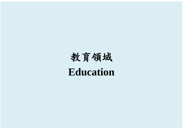## 教育領域 **Education**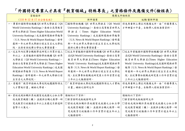## 「外國特定專業人才具有『教育領域』特殊專長」之資格條件及應備文件(檢核表)

| 資格條件                                    | 應備文件檢核表                                  |                                                     |
|-----------------------------------------|------------------------------------------|-----------------------------------------------------|
| (110年12月17日公告生效)                        | 新申請案                                     | 延期/重新申請                                             |
| 一、畢業於國際學術機構 QS 世界大學排名 (QS               |                                          | □國際學術機構 QS 世界大學排名 (QS World   得免再重新上傳左列應備文件,由「外國專業人 |
| World University Rankings )、泰晤士高等教育     | University Rankings)、泰晤士高等教育世界大          | 才申辦窗口平臺」自動帶入前核准案資料。                                 |
| 世界大學排名(Times Higher Education World     | 學 排 名 ( Times Higher Education World     |                                                     |
| University Rankings)或美國新聞與世界報導          | University Rankings)或美國新聞與世界報導           |                                                     |
| (U.S. News & World Report Rankings) 發布  | (U.S. News & World Report Rankings) 發布最  |                                                     |
| 最新一年之世界大學排行前五百名之大學校                     | 新一年之世界大學排行前五百名之大學校院                      |                                                     |
| 院,且持有該校博士學位之畢業證書。                       | 提供之博士學位畢業證書。                             |                                                     |
| 二、近五年內從事全職教學或研究工作累計達三                   | □近五年曾服務於國際學術機構 QS 世界大學排                  | □近五年曾服務於國際學術機構 QS 世界大學排                             |
| 年以上,且曾服務於國際學術機構 QS 世界                   | 名(QS World University Rankings)、泰晤士高等    | 名(QS World University Rankings)、泰晤士高等               |
| 大學排名 (QS World University Rankings)、    | 教育世界大學排名(Times Higher Education          | 教育世界大學排名(Times Higher Education                     |
| 泰晤士高等教育世界大學排名(Times Higher              | World University Rankings)或美國新聞與世界       | World University Rankings)或美國新聞與世界                  |
| Education World University Rankings)或美國 | 報導 (U.S. News & World Report Rankings) 發 | 報導 (U.S. News & World Report Rankings) 發            |
| 新聞與世界報導 (U.S. News & World Report       | 布最新一年之世界大學排行前五百名大學校                      | 布最新一年之世界大學排行前五百名大學校                                 |
| Rankings)發布最新一年之世界大學排行前                 | 院,且從事專任教職或研究員工作年資累計達                     | 院,且從事專任教職或研究員工作年資累計達                                |
| 五百名之大學校院。                               | 三年以上之服務證明。                               | 三年以上之服務證明。                                          |
| 三、曾獲得「教育部協助大專校院延攬國際頂尖                   | □「教育部協助大專校院延攬國際頂尖人才實施                    | 得免再重新上傳左列應備文件,由「外國專業人                               |
| 人才實施計畫」補助之學者。                           | 計畫   補助之證明文件                             | 才申辦窗口平臺」自動帶入前核准案資料。                                 |
|                                         |                                          |                                                     |
| 四、曾經或現任職於其他國家或我國之公私立學                   | 請檢附以下資料:                                 | 請檢附以下資料:                                            |
| 校或教育機關(構),並提供全職之教學、研                    | □薪資證明或繳稅證明文件                             | □薪資證明或繳稅證明文件                                        |
| 究或教育行政服務五年以上且最近月薪達新                     | □曾經或現任職於其他國家或我國之公私立學                     | □曾經或現任職於其他國家或我國之公私立學                                |
| 臺幣十六萬元。                                 | 校或教育機關 (構), 並提供全職之教學、研                   | 校或教育機關(構),並提供全職之教學、研                                |
|                                         | 究或教育行政服務工作年資累計達五年以上                      | 究或教育行政服務工作年資累計達五年以上                                 |
|                                         | 之服務證明。                                   | 之服務證明。                                              |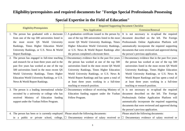## **Eligibility/prerequisites and required documents for "Foreign Special Professionals Possessing**

|                                                                                          | <b>Required Supporting Document Checklist</b>                                                                                               |                                                         |
|------------------------------------------------------------------------------------------|---------------------------------------------------------------------------------------------------------------------------------------------|---------------------------------------------------------|
| Eligibility/Prerequisites                                                                | <b>New Application</b>                                                                                                                      | <b>Extension/Renewal</b>                                |
| 1. The person has graduated with a doctorate                                             | A graduation certificate issued to the person by                                                                                            | It is not necessary to re-upload the required           |
| from one of the top 500 universities listed in                                           | one of the top 500 universities listed in the most                                                                                          | document described on the left. The Foreign             |
| most recent QS World University<br>the                                                   | recent QS World University Rankings, Times                                                                                                  | Professionals Online Application Platform will          |
| Rankings, Times Higher Education World                                                   | Higher Education World University Rankings,                                                                                                 | automatically incorporate the required supporting       |
| University Rankings, or U.S. News & World                                                | or U.S. News & World Report Rankings after                                                                                                  | documents that were reviewed and approved during        |
| <b>Report Rankings.</b>                                                                  | the person completed a doctorate there.                                                                                                     | the person's previous application.                      |
| 2. The person has engaged in full-time teaching                                          | Documentary evidence that in the past five years                                                                                            | $\Box$ Documentary evidence that in the past five years |
| and research for at least three years and in the                                         | the person has worked at one of the top 500                                                                                                 | the person has worked at one of the top 500             |
| past five years has worked at one of the top                                             | universities listed in the most recent QS World                                                                                             | universities listed in the most recent QS World         |
| 500 universities listed in the most recent QS                                            | University Rankings, Times Higher Education                                                                                                 | University Rankings, Times Higher Education             |
| World University Rankings, Times Higher                                                  | World University Rankings, or U.S. News &                                                                                                   | World University Rankings, or U.S. News &               |
| Education World University Rankings, or U.S.                                             | World Report Rankings and has spent a total of                                                                                              | World Report Rankings and has spent a total of          |
| News & World Report Rankings.                                                            | at least three years working in a full-time                                                                                                 | at least three years working in a full-time             |
|                                                                                          | teaching or research position.                                                                                                              | teaching or research position.                          |
| 3. The person is a leading international scholar                                         | Documentary evidence of receiving Ministry of                                                                                               | It is not necessary to re-upload the required           |
| recruited by a university or college who has                                             | Education funding support under the Yushan                                                                                                  | document described on the left. The Foreign             |
| received Ministry of Education funding                                                   | Fellow Program.                                                                                                                             | Professionals Online Application Platform will          |
| support under the Yushan Fellow Program.                                                 |                                                                                                                                             | automatically incorporate the required supporting       |
|                                                                                          |                                                                                                                                             | documents that were reviewed and approved during        |
|                                                                                          |                                                                                                                                             | the person's previous application.                      |
| 4. The person has been or is currently employed   Please attach the following documents: |                                                                                                                                             | Please attach the following documents:                  |
|                                                                                          | in a public or private school, college, $\Box$ Documentary evidence of salary received or $\Box$ Documentary evidence of salary received or |                                                         |

## **Special Expertise in the Field of Education"**